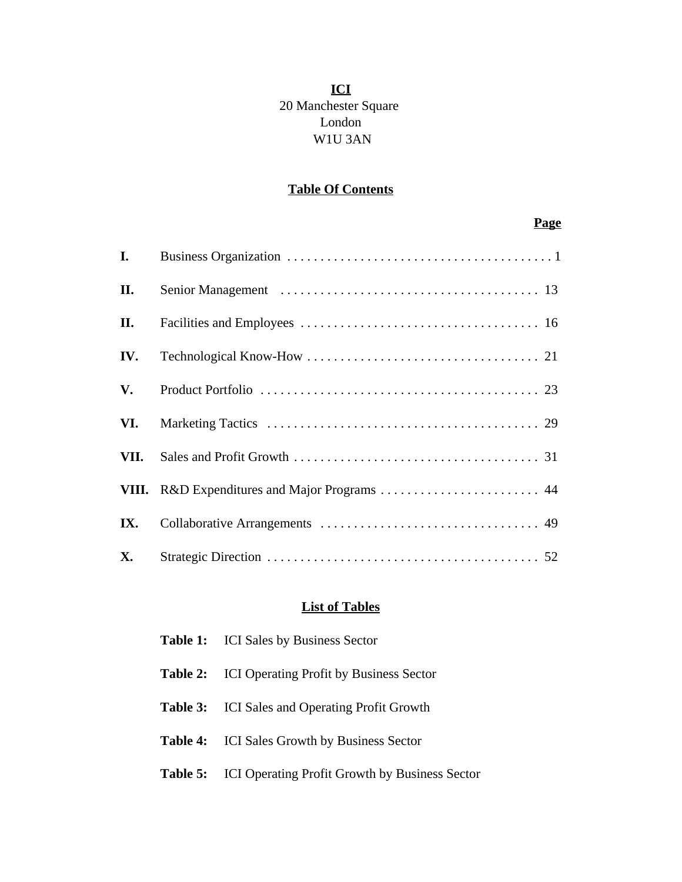## **ICI** 20 Manchester Square London W1U 3AN

## **Table Of Contents**

## **Page**

| I.        |                                               |  |
|-----------|-----------------------------------------------|--|
| II.       |                                               |  |
| П.        |                                               |  |
| IV.       |                                               |  |
| V.        |                                               |  |
| VI.       |                                               |  |
| VII.      |                                               |  |
|           | VIII. R&D Expenditures and Major Programs  44 |  |
| IX.       |                                               |  |
| <b>X.</b> |                                               |  |

## **List of Tables**

| Table 1: | <b>ICI</b> Sales by Business Sector            |
|----------|------------------------------------------------|
| Table 2: | <b>ICI Operating Profit by Business Sector</b> |
| Table 3: | <b>ICI</b> Sales and Operating Profit Growth   |
| Table 4: | <b>ICI</b> Sales Growth by Business Sector     |
| Table 5: | ICI Operating Profit Growth by Business Sector |